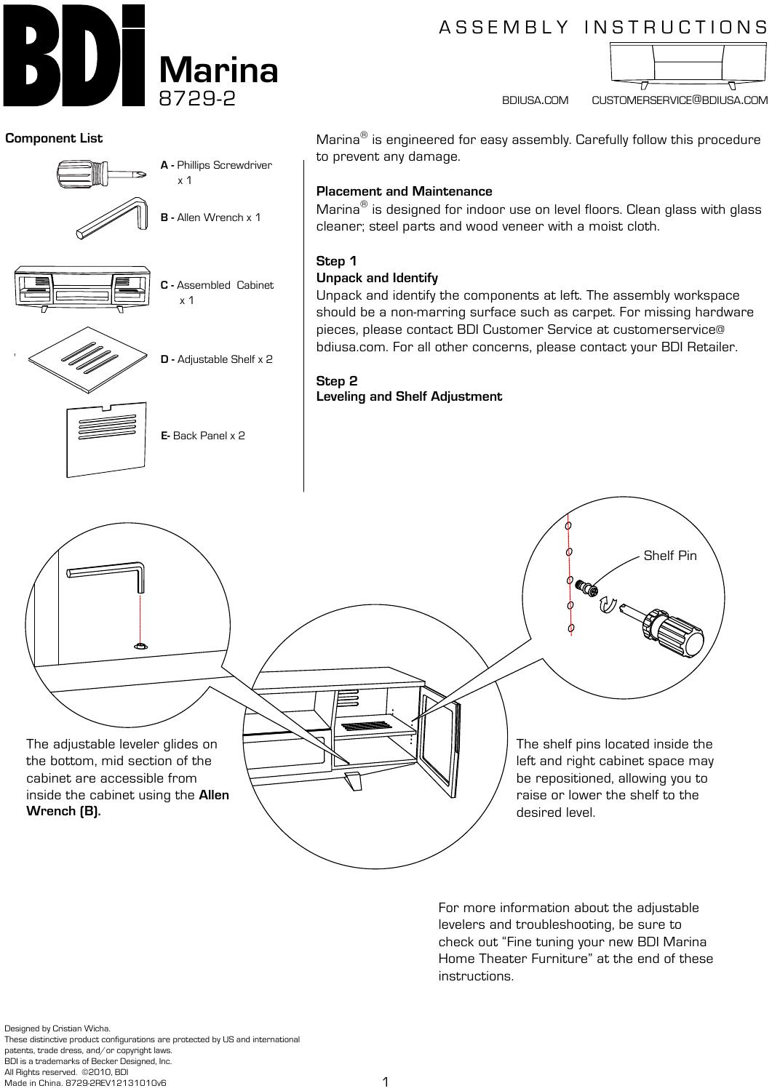

# A S S E M B L Y IN S T R U C T I O N S



bdiusa.com customerservice@bdiusa.com

Shelf Pin

#### **Component List**



For more information about the adjustable levelers and troubleshooting, be sure to check out "Fine tuning your new BDI Marina Home Theater Furniture" at the end of these instructions.

Designed by Cristian Wicha. These distinctive product configurations are protected by US and international patents, trade dress, and/or copyright laws. BDI is a trademarks of Becker Designed, Inc. All Rights reserved. ©2010, BDI Made in China. 8729-2REV12131010v6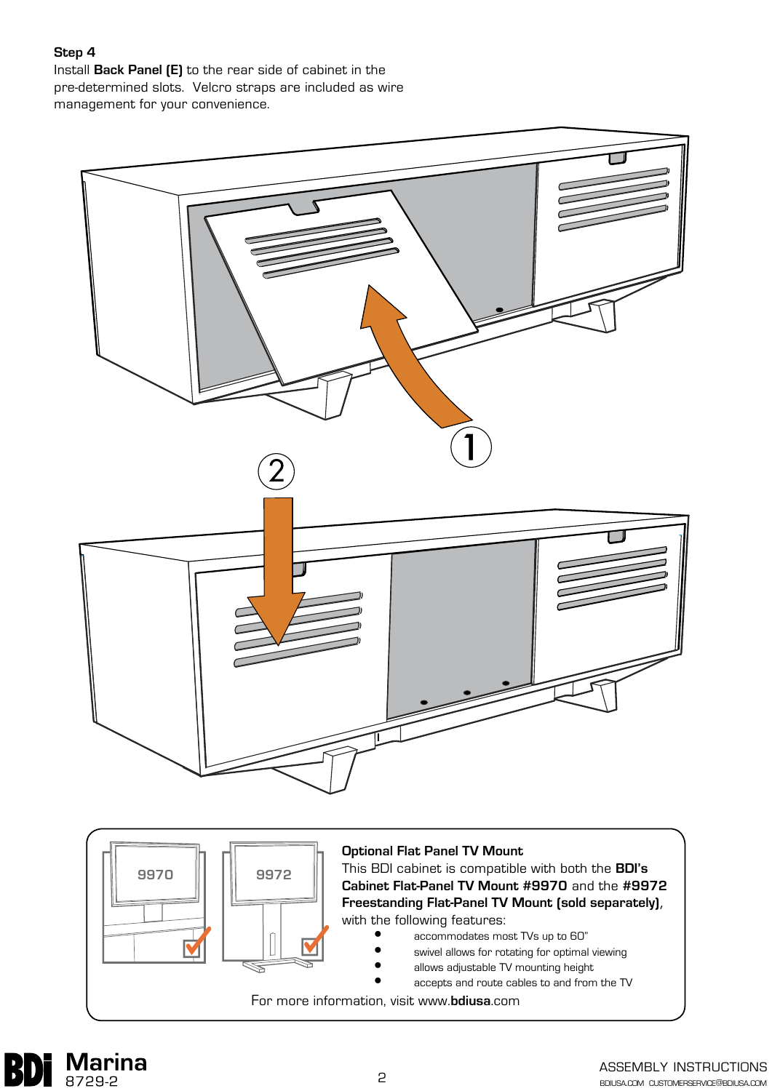## **Step 4**

Install **Back Panel (E)** to the rear side of cabinet in the pre-determined slots. Velcro straps are included as wire management for your convenience.





#### **Optional Flat Panel TV Mount**

This BDI cabinet is compatible with both the **BDI's Cabinet Flat-Panel TV Mount #9970** and the **#9972 Freestanding Flat-Panel TV Mount (sold separately)**, with the following features:

- accommodates most TVs up to 60"
- swivel allows for rotating for optimal viewing
- allows adjustable TV mounting height
	- accepts and route cables to and from the TV

For more information, visit www.**bdiusa**.com